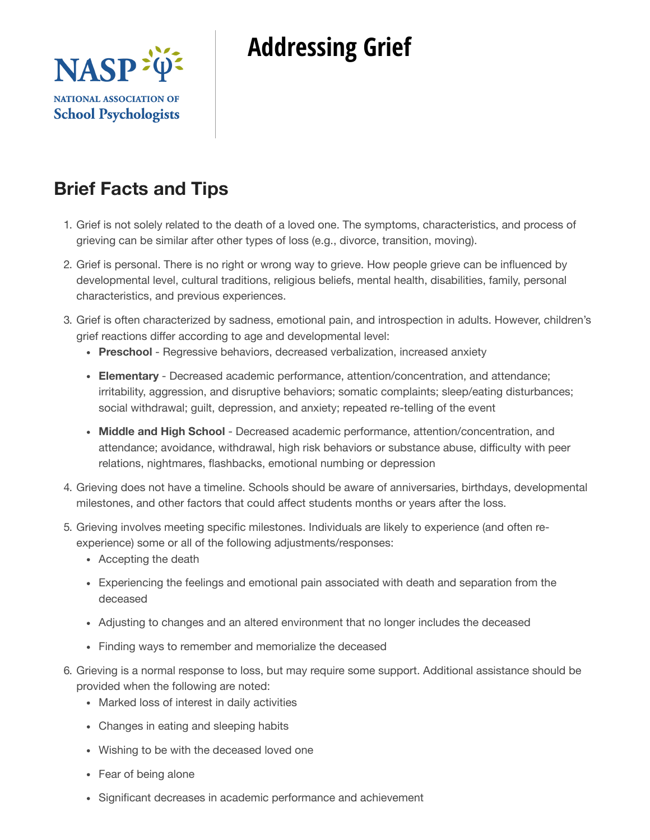



# **Brief Facts and Tips**

- 1. Grief is not solely related to the death of a loved one. The symptoms, characteristics, and process of grieving can be similar after other types of loss (e.g., divorce, transition, moving).
- 2. Grief is personal. There is no right or wrong way to grieve. How people grieve can be influenced by developmental level, cultural traditions, religious beliefs, mental health, disabilities, family, personal characteristics, and previous experiences.
- 3. Grief is often characterized by sadness, emotional pain, and introspection in adults. However, children's grief reactions differ according to age and developmental level:
	- **Preschool** Regressive behaviors, decreased verbalization, increased anxiety
	- **Elementary** Decreased academic performance, attention/concentration, and attendance; irritability, aggression, and disruptive behaviors; somatic complaints; sleep/eating disturbances; social withdrawal; guilt, depression, and anxiety; repeated re-telling of the event
	- **Middle and High School** Decreased academic performance, attention/concentration, and attendance; avoidance, withdrawal, high risk behaviors or substance abuse, difficulty with peer relations, nightmares, flashbacks, emotional numbing or depression
- 4. Grieving does not have a timeline. Schools should be aware of anniversaries, birthdays, developmental milestones, and other factors that could affect students months or years after the loss.
- 5. Grieving involves meeting specific milestones. Individuals are likely to experience (and often reexperience) some or all of the following adjustments/responses:
	- Accepting the death
	- Experiencing the feelings and emotional pain associated with death and separation from the deceased
	- Adjusting to changes and an altered environment that no longer includes the deceased
	- Finding ways to remember and memorialize the deceased
- 6. Grieving is a normal response to loss, but may require some support. Additional assistance should be provided when the following are noted:
	- Marked loss of interest in daily activities
	- Changes in eating and sleeping habits
	- Wishing to be with the deceased loved one
	- Fear of being alone
	- Significant decreases in academic performance and achievement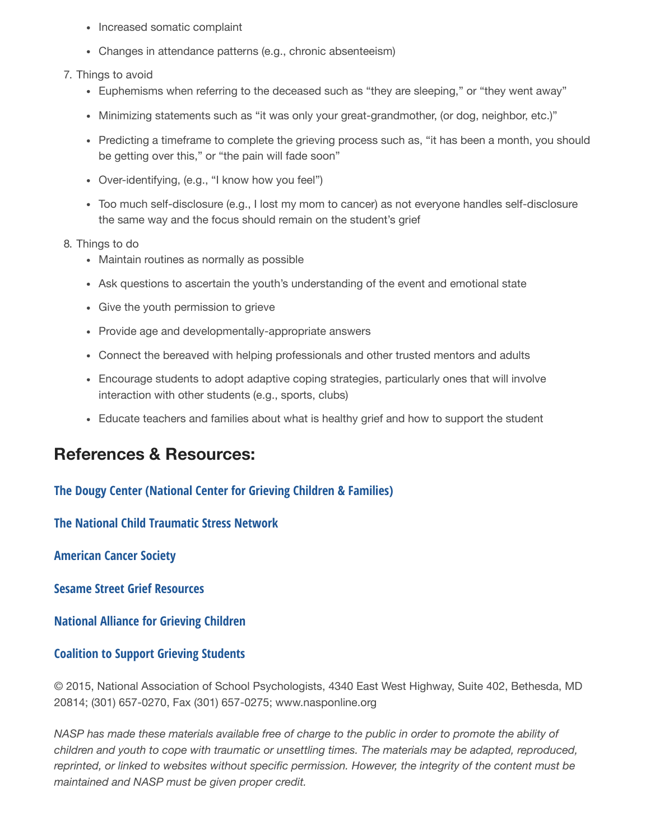- Increased somatic complaint
- Changes in attendance patterns (e.g., chronic absenteeism)
- 7. Things to avoid
	- Euphemisms when referring to the deceased such as "they are sleeping," or "they went away"
	- Minimizing statements such as "it was only your great-grandmother, (or dog, neighbor, etc.)"
	- Predicting a timeframe to complete the grieving process such as, "it has been a month, you should be getting over this," or "the pain will fade soon"
	- Over-identifying, (e.g., "I know how you feel")
	- Too much self-disclosure (e.g., I lost my mom to cancer) as not everyone handles self-disclosure the same way and the focus should remain on the student's grief

8. Things to do

- Maintain routines as normally as possible
- Ask questions to ascertain the youth's understanding of the event and emotional state
- Give the youth permission to grieve
- Provide age and developmentally-appropriate answers
- Connect the bereaved with helping professionals and other trusted mentors and adults
- Encourage students to adopt adaptive coping strategies, particularly ones that will involve interaction with other students (e.g., sports, clubs)
- Educate teachers and families about what is healthy grief and how to support the student

### **References & Resources:**

**The Dougy Center (National Center for Grieving Children & Families)**

**The National Child Traumatic Stress Network**

**American Cancer Society**

**Sesame Street Grief Resources**

**National Alliance for Grieving Children**

#### **Coalition to Support Grieving Students**

© 2015, National Association of School Psychologists, 4340 East West Highway, Suite 402, Bethesda, MD 20814; (301) 657-0270, Fax (301) 657-0275; www.nasponline.org

NASP has made these materials available free of charge to the public in order to promote the ability of *children and youth to cope with traumatic or unsettling times. The materials may be adapted, reproduced, reprinted, or linked to websites without specific permission. However, the integrity of the content must be maintained and NASP must be given proper credit.*